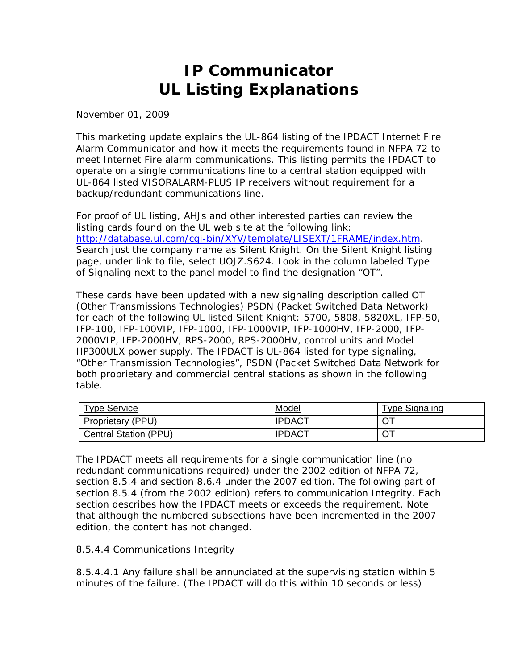## **IP Communicator UL Listing Explanations**

November 01, 2009

This marketing update explains the UL-864 listing of the IPDACT Internet Fire Alarm Communicator and how it meets the requirements found in NFPA 72 to meet Internet Fire alarm communications. This listing permits the IPDACT to operate on a single communications line to a central station equipped with UL-864 listed VISORALARM-PLUS IP receivers without requirement for a backup/redundant communications line.

For proof of UL listing, AHJs and other interested parties can review the listing cards found on the UL web site at the following link: http://database.ul.com/cgi-bin/XYV/template/LISEXT/1FRAME/index.htm. Search just the company name as Silent Knight. On the Silent Knight listing page, under link to file, select UOJZ.S624. Look in the column labeled Type of Signaling next to the panel model to find the designation "OT".

These cards have been updated with a new signaling description called OT (Other Transmissions Technologies) PSDN (Packet Switched Data Network) for each of the following UL listed Silent Knight: 5700, 5808, 5820XL, IFP-50, IFP-100, IFP-100VIP, IFP-1000, IFP-1000VIP, IFP-1000HV, IFP-2000, IFP-2000VIP, IFP-2000HV, RPS-2000, RPS-2000HV, control units and Model HP300ULX power supply. The IPDACT is UL-864 listed for type signaling, "Other Transmission Technologies", PSDN (Packet Switched Data Network for both proprietary and commercial central stations as shown in the following table.

| <b>Type Service</b>          | Model         | <b>Type Signaling</b> |
|------------------------------|---------------|-----------------------|
| Proprietary (PPU)            | <b>IPDACT</b> |                       |
| <b>Central Station (PPU)</b> | <b>IPDACT</b> |                       |

The IPDACT meets all requirements for a single communication line (no redundant communications required) under the 2002 edition of NFPA 72, section 8.5.4 and section 8.6.4 under the 2007 edition. The following part of section 8.5.4 (from the 2002 edition) refers to communication Integrity. Each section describes how the IPDACT meets or exceeds the requirement. Note that although the numbered subsections have been incremented in the 2007 edition, the content has not changed.

8.5.4.4 Communications Integrity

8.5.4.4.1 Any failure shall be annunciated at the supervising station within 5 minutes of the failure. (The IPDACT will do this within 10 seconds or less)